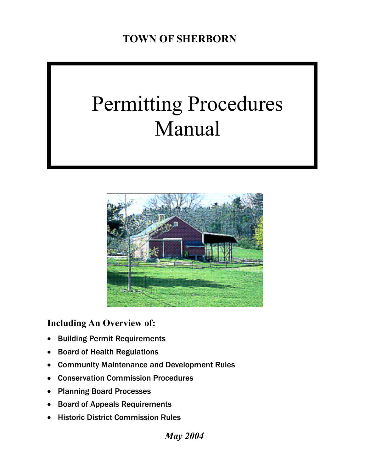# Permitting Procedures Manual



**Including An Overview of:** 

- **Building Permit Requirements**
- Board of Health Regulations
- Community Maintenance and Development Rules
- Conservation Commission Procedures
- Planning Board Processes
- Board of Appeals Requirements
- Historic District Commission Rules

*May 2004*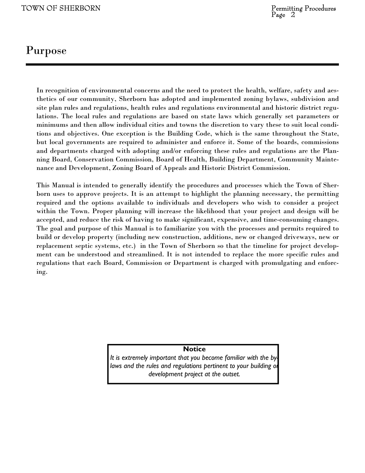### Purpose

In recognition of environmental concerns and the need to protect the health, welfare, safety and aesthetics of our community, Sherborn has adopted and implemented zoning bylaws, subdivision and site plan rules and regulations, health rules and regulations environmental and historic district regulations. The local rules and regulations are based on state laws which generally set parameters or minimums and then allow individual cities and towns the discretion to vary these to suit local conditions and objectives. One exception is the Building Code, which is the same throughout the State, but local governments are required to administer and enforce it. Some of the boards, commissions and departments charged with adopting and/or enforcing these rules and regulations are the Planning Board, Conservation Commission, Board of Health, Building Department, Community Maintenance and Development, Zoning Board of Appeals and Historic District Commission.

This Manual is intended to generally identify the procedures and processes which the Town of Sherborn uses to approve projects. It is an attempt to highlight the planning necessary, the permitting required and the options available to individuals and developers who wish to consider a project within the Town. Proper planning will increase the likelihood that your project and design will be accepted, and reduce the risk of having to make significant, expensive, and time-consuming changes. The goal and purpose of this Manual is to familiarize you with the processes and permits required to build or develop property (including new construction, additions, new or changed driveways, new or replacement septic systems, etc.) in the Town of Sherborn so that the timeline for project development can be understood and streamlined. It is not intended to replace the more specific rules and regulations that each Board, Commission or Department is charged with promulgating and enforcing.

**Notice** 

*It is extremely important that you become familiar with the bylaws and the rules and regulations pertinent to your building or development project at the outset.*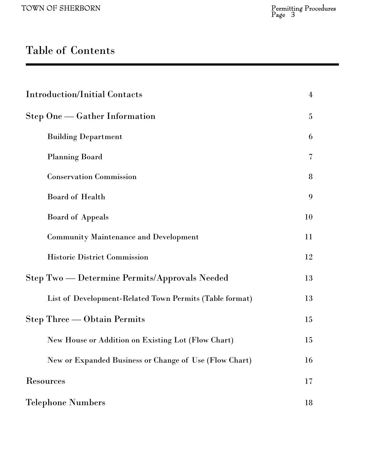# Table of Contents

| <b>Introduction/Initial Contacts</b>                    | $\overline{4}$  |
|---------------------------------------------------------|-----------------|
| Step One — Gather Information                           | $5\phantom{.0}$ |
| <b>Building Department</b>                              | 6               |
| <b>Planning Board</b>                                   | 7               |
| <b>Conservation Commission</b>                          | 8               |
| <b>Board of Health</b>                                  | 9               |
| <b>Board of Appeals</b>                                 | 10              |
| <b>Community Maintenance and Development</b>            | 11              |
| <b>Historic District Commission</b>                     | 12              |
| Step Two — Determine Permits/Approvals Needed           | 13              |
| List of Development-Related Town Permits (Table format) | 13              |
| <b>Step Three — Obtain Permits</b>                      | 15              |
| New House or Addition on Existing Lot (Flow Chart)      | 15              |
| New or Expanded Business or Change of Use (Flow Chart)  | 16              |
| <b>Resources</b>                                        | 17              |
| <b>Telephone Numbers</b>                                | 18              |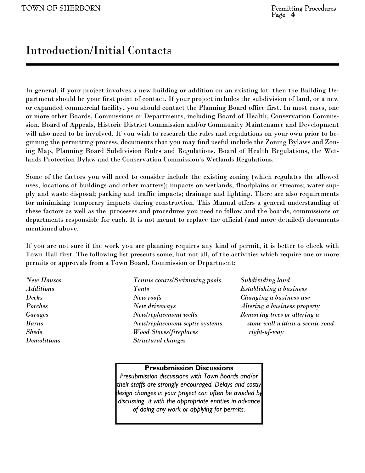### Introduction/Initial Contacts

In general, if your project involves a new building or addition on an existing lot, then the Building Department should be your first point of contact. If your project includes the subdivision of land, or a new or expanded commercial facility, you should contact the Planning Board office first. In most cases, one or more other Boards, Commissions or Departments, including Board of Health, Conservation Commission, Board of Appeals, Historic District Commission and/or Community Maintenance and Development will also need to be involved. If you wish to research the rules and regulations on your own prior to beginning the permitting process, documents that you may find useful include the Zoning Bylaws and Zoning Map, Planning Board Subdivision Rules and Regulations, Board of Health Regulations, the Wetlands Protection Bylaw and the Conservation Commission's Wetlands Regulations.

Some of the factors you will need to consider include the existing zoning (which regulates the allowed uses, locations of buildings and other matters); impacts on wetlands, floodplains or streams; water supply and waste disposal; parking and traffic impacts; drainage and lighting. There are also requirements for minimizing temporary impacts during construction. This Manual offers a general understanding of these factors as well as the processes and procedures you need to follow and the boards, commissions or departments responsible for each. It is not meant to replace the official (and more detailed) documents mentioned above.

If you are not sure if the work you are planning requires any kind of permit, it is better to check with Town Hall first. The following list presents some, but not all, of the activities which require one or more permits or approvals from a Town Board, Commission or Department:

*New Houses Tennis courts/Swimming pools Subdividing land Additions Tents Establishing a business Decks New roofs Changing a business use Porches* New driveways *Altering a business property Garages New/replacement wells Removing trees or altering a Barns New/replacement septic systems stone wall within a scenic road Sheds Wood Stoves/fireplaces right-of-way Demolitions Structural changes* 

#### **Presubmission Discussions**

*Presubmission discussions with Town Boards and/or their staffs are strongly encouraged. Delays and costly design changes in your project can often be avoided by discussing it with the appropriate entities in advance of doing any work or applying for permits.*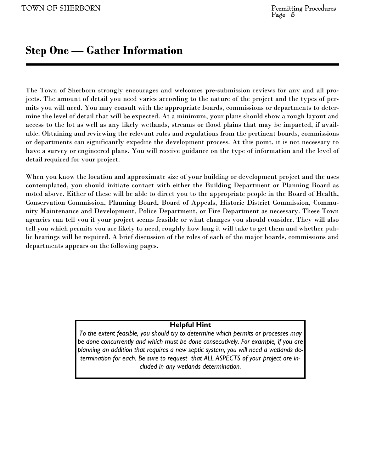#### **Step One — Gather Information**

The Town of Sherborn strongly encourages and welcomes pre-submission reviews for any and all projects. The amount of detail you need varies according to the nature of the project and the types of permits you will need. You may consult with the appropriate boards, commissions or departments to determine the level of detail that will be expected. At a minimum, your plans should show a rough layout and access to the lot as well as any likely wetlands, streams or flood plains that may be impacted, if available. Obtaining and reviewing the relevant rules and regulations from the pertinent boards, commissions or departments can significantly expedite the development process. At this point, it is not necessary to have a survey or engineered plans. You will receive guidance on the type of information and the level of detail required for your project.

When you know the location and approximate size of your building or development project and the uses contemplated, you should initiate contact with either the Building Department or Planning Board as noted above. Either of these will be able to direct you to the appropriate people in the Board of Health, Conservation Commission, Planning Board, Board of Appeals, Historic District Commission, Community Maintenance and Development, Police Department, or Fire Department as necessary. These Town agencies can tell you if your project seems feasible or what changes you should consider. They will also tell you which permits you are likely to need, roughly how long it will take to get them and whether public hearings will be required. A brief discussion of the roles of each of the major boards, commissions and departments appears on the following pages.

#### **Helpful Hint**

*To the extent feasible, you should try to determine which permits or processes may be done concurrently and which must be done consecutively. For example, if you are planning an addition that requires a new septic system, you will need a wetlands determination for each. Be sure to request that ALL ASPECTS of your project are included in any wetlands determination.*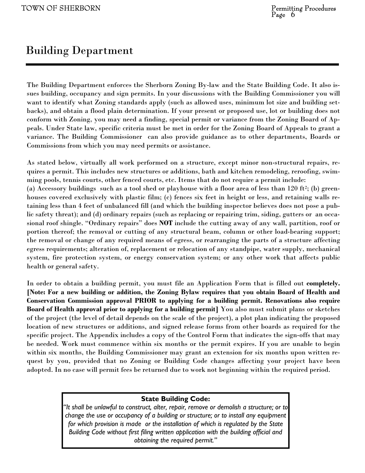### Building Department

The Building Department enforces the Sherborn Zoning By-law and the State Building Code. It also issues building, occupancy and sign permits. In your discussions with the Building Commissioner you will want to identify what Zoning standards apply (such as allowed uses, minimum lot size and building setbacks), and obtain a flood plain determination. If your present or proposed use, lot or building does not conform with Zoning, you may need a finding, special permit or variance from the Zoning Board of Appeals. Under State law, specific criteria must be met in order for the Zoning Board of Appeals to grant a variance. The Building Commissioner can also provide guidance as to other departments, Boards or Commissions from which you may need permits or assistance.

As stated below, virtually all work performed on a structure, except minor non-structural repairs, requires a permit. This includes new structures or additions, bath and kitchen remodeling, reroofing, swimming pools, tennis courts, other fenced courts, etc. Items that do not require a permit include: (a) Accessory buildings such as a tool shed or playhouse with a floor area of less than  $120 \text{ ft}^2$ ; (b) greenhouses covered exclusively with plastic film; (c) fences six feet in height or less, and retaining walls retaining less than 4 feet of unbalanced fill (and which the building inspector believes does not pose a public safety threat); and (d) ordinary repairs (such as replacing or repairing trim, siding, gutters or an occasional roof shingle. "Ordinary repairs" does **NOT** include the cutting away of any wall, partition, roof or portion thereof; the removal or cutting of any structural beam, column or other load-bearing support; the removal or change of any required means of egress, or rearranging the parts of a structure affecting egress requirements; alteration of, replacement or relocation of any standpipe, water supply, mechanical system, fire protection system, or energy conservation system; or any other work that affects public health or general safety.

In order to obtain a building permit, you must file an Application Form that is filled out **completely. [Note: For a new building or addition, the Zoning Bylaw requires that you obtain Board of Health and Conservation Commission approval PRIOR to applying for a building permit. Renovations also require Board of Health approval prior to applying for a building permit]** You also must submit plans or sketches of the project (the level of detail depends on the scale of the project), a plot plan indicating the proposed location of new structures or additions, and signed release forms from other boards as required for the specific project. The Appendix includes a copy of the Control Form that indicates the sign-offs that may be needed. Work must commence within six months or the permit expires. If you are unable to begin within six months, the Building Commissioner may grant an extension for six months upon written request by you, provided that no Zoning or Building Code changes affecting your project have been adopted. In no case will permit fees be returned due to work not beginning within the required period.

#### **State Building Code:**

*"It shall be unlawful to construct, alter, repair, remove or demolish a structure; or to change the use or occupancy of a building or structure; or to install any equipment for which provision is made or the installation of which is regulated by the State Building Code without first filing written application with the building official and obtaining the required permit."*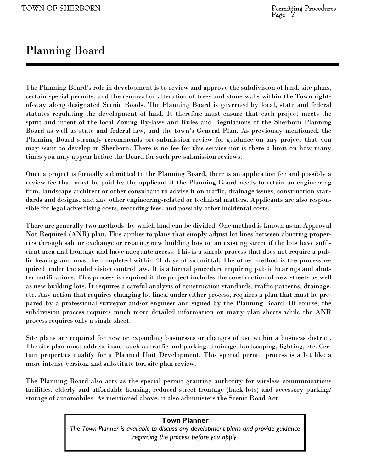### Planning Board

The Planning Board's role in development is to review and approve the subdivision of land, site plans, certain special permits, and the removal or alteration of trees and stone walls within the Town rightof-way along designated Scenic Roads. The Planning Board is governed by local, state and federal statutes regulating the development of land. It therefore must ensure that each project meets the spirit and intent of the local Zoning By-laws and Rules and Regulations of the Sherborn Planning Board as well as state and federal law, and the town's General Plan. As previously mentioned, the Planning Board strongly recommends pre-submission review for guidance on any project that you may want to develop in Sherborn. There is no fee for this service nor is there a limit on how many times you may appear before the Board for such pre-submission reviews.

Once a project is formally submitted to the Planning Board, there is an application fee and possibly a review fee that must be paid by the applicant if the Planning Board needs to retain an engineering firm, landscape architect or other consultant to advise it on traffic, drainage issues, construction standards and designs, and any other engineering-related or technical matters. Applicants are also responsible for legal advertising costs, recording fees, and possibly other incidental costs.

There are generally two methods by which land can be divided. One method is known as an Approval Not Required (ANR) plan. This applies to plans that simply adjust lot lines between abutting properties through sale or exchange or creating new building lots on an existing street if the lots have sufficient area and frontage and have adequate access. This is a simple process that does not require a public hearing and must be completed within 21 days of submittal. The other method is the process required under the subdivision control law. It is a formal procedure requiring public hearings and abutter notifications. This process is required if the project includes the construction of new streets as well as new building lots. It requires a careful analysis of construction standards, traffic patterns, drainage, etc. Any action that requires changing lot lines, under either process, requires a plan that must be prepared by a professional surveyor and/or engineer and signed by the Planning Board. Of course, the subdivision process requires much more detailed information on many plan sheets while the ANR process requires only a single sheet.

Site plans are required for new or expanding businesses or changes of use within a business district. The site plan must address issues such as traffic and parking, drainage, landscaping, lighting, etc. Certain properties qualify for a Planned Unit Development. This special permit process is a bit like a more intense version, and substitute for, site plan review.

The Planning Board also acts as the special permit granting authority for wireless communications facilities, elderly and affordable housing, reduced street frontage (back lots) and accessory parking/ storage of automobiles. As mentioned above, it also administers the Scenic Road Act.

> *The Town Planner is available to discuss any development plans and provide guidance regarding the process before you apply.*

#### **Town Planner**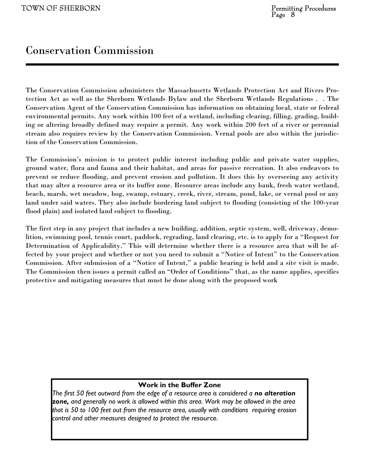### Conservation Commission

The Conservation Commission administers the Massachusetts Wetlands Protection Act and Rivers Protection Act as well as the Sherborn Wetlands Bylaw and the Sherborn Wetlands Regulations . . The Conservation Agent of the Conservation Commission has information on obtaining local, state or federal environmental permits. Any work within 100 feet of a wetland, including clearing, filling, grading, building or altering broadly defined may require a permit. Any work within 200 feet of a river or perennial stream also requires review by the Conservation Commission. Vernal pools are also within the jurisdiction of the Conservation Commission.

The Commission's mission is to protect public interest including public and private water supplies, ground water, flora and fauna and their habitat, and areas for passive recreation. It also endeavors to prevent or reduce flooding, and prevent erosion and pollution. It does this by overseeing any activity that may alter a resource area or its buffer zone. Resource areas include any bank, fresh water wetland, beach, marsh, wet meadow, bog, swamp, estuary, creek, river, stream, pond, lake, or vernal pool or any land under said waters. They also include bordering land subject to flooding (consisting of the 100-year flood plain) and isolated land subject to flooding.

The first step in any project that includes a new building, addition, septic system, well, driveway, demolition, swimming pool, tennis court, paddock, regrading, land clearing, etc. is to apply for a "Request for Determination of Applicability." This will determine whether there is a resource area that will be affected by your project and whether or not you need to submit a "Notice of Intent" to the Conservation Commission. After submission of a "Notice of Intent," a public hearing is held and a site visit is made. The Commission then issues a permit called an "Order of Conditions" that, as the name applies, specifies protective and mitigating measures that must be done along with the proposed work

#### **Work in the Buffer Zone**

*The first 50 feet outward from the edge of a resource area is considered a no alteration zone, and generally no work is allowed within this area. Work may be allowed in the area that is 50 to 100 feet out from the resource area, usually with conditions requiring erosion control and other measures designed to protect the res*ource.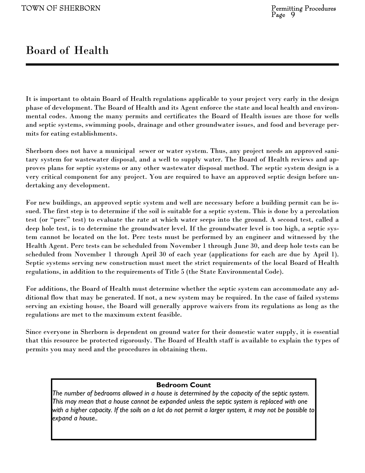### Board of Health

It is important to obtain Board of Health regulations applicable to your project very early in the design phase of development. The Board of Health and its Agent enforce the state and local health and environmental codes. Among the many permits and certificates the Board of Health issues are those for wells and septic systems, swimming pools, drainage and other groundwater issues, and food and beverage permits for eating establishments.

Sherborn does not have a municipal sewer or water system. Thus, any project needs an approved sanitary system for wastewater disposal, and a well to supply water. The Board of Health reviews and approves plans for septic systems or any other wastewater disposal method. The septic system design is a very critical component for any project. You are required to have an approved septic design before undertaking any development.

For new buildings, an approved septic system and well are necessary before a building permit can be issued. The first step is to determine if the soil is suitable for a septic system. This is done by a percolation test (or "perc" test) to evaluate the rate at which water seeps into the ground. A second test, called a deep hole test, is to determine the groundwater level. If the groundwater level is too high, a septic system cannot be located on the lot. Perc tests must be performed by an engineer and witnessed by the Health Agent. Perc tests can be scheduled from November 1 through June 30, and deep hole tests can be scheduled from November 1 through April 30 of each year (applications for each are due by April 1). Septic systems serving new construction must meet the strict requirements of the local Board of Health regulations, in addition to the requirements of Title 5 (the State Environmental Code).

For additions, the Board of Health must determine whether the septic system can accommodate any additional flow that may be generated. If not, a new system may be required. In the case of failed systems serving an existing house, the Board will generally approve waivers from its regulations as long as the regulations are met to the maximum extent feasible.

Since everyone in Sherborn is dependent on ground water for their domestic water supply, it is essential that this resource be protected rigorously. The Board of Health staff is available to explain the types of permits you may need and the procedures in obtaining them.

#### **Bedroom Count**

*The number of bedrooms allowed in a house is determined by the capacity of the septic system. This may mean that a house cannot be expanded unless the septic system is replaced with one with a higher capacity. If the soils on a lot do not permit a larger system, it may not be possible to expand a house..*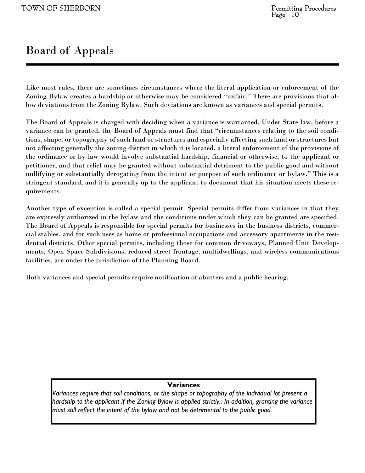### Board of Appeals

Like most rules, there are sometimes circumstances where the literal application or enforcement of the Zoning Bylaw creates a hardship or otherwise may be considered "unfair." There are provisions that allow deviations from the Zoning Bylaw. Such deviations are known as variances and special permits.

The Board of Appeals is charged with deciding when a variance is warranted. Under State law, before a variance can be granted, the Board of Appeals must find that "circumstances relating to the soil conditions, shape, or topography of such land or structures and especially affecting such land or structures but not affecting generally the zoning district in which it is located, a literal enforcement of the provisions of the ordinance or by-law would involve substantial hardship, financial or otherwise, to the applicant or petitioner, and that relief may be granted without substantial detriment to the public good and without nullifying or substantially derogating from the intent or purpose of such ordinance or bylaw." This is a stringent standard, and it is generally up to the applicant to document that his situation meets these requirements.

Another type of exception is called a special permit. Special permits differ from variances in that they are expressly authorized in the bylaw and the conditions under which they can be granted are specified. The Board of Appeals is responsible for special permits for businesses in the business districts, commercial stables, and for such uses as home or professional occupations and accessory apartments in the residential districts. Other special permits, including those for common driveways, Planned Unit Developments, Open Space Subdivisions, reduced street frontage, multidwellings, and wireless communications facilities, are under the jurisdiction of the Planning Board.

Both variances and special permits require notification of abutters and a public hearing.

#### **Variances**

*Variances require that soil conditions, or the shape or topography of the individual lot present a hardship to the applicant if the Zoning Bylaw is applied strictly.. In addition, granting the variance must still reflect the intent of the bylaw and not be detrimental to the public good.*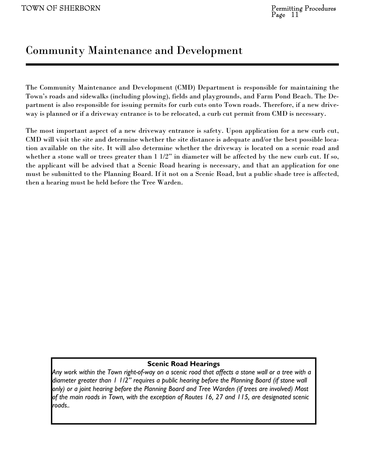### Community Maintenance and Development

The Community Maintenance and Development (CMD) Department is responsible for maintaining the Town's roads and sidewalks (including plowing), fields and playgrounds, and Farm Pond Beach. The Department is also responsible for issuing permits for curb cuts onto Town roads. Therefore, if a new driveway is planned or if a driveway entrance is to be relocated, a curb cut permit from CMD is necessary.

The most important aspect of a new driveway entrance is safety. Upon application for a new curb cut, CMD will visit the site and determine whether the site distance is adequate and/or the best possible location available on the site. It will also determine whether the driveway is located on a scenic road and whether a stone wall or trees greater than 1 1/2" in diameter will be affected by the new curb cut. If so, the applicant will be advised that a Scenic Road hearing is necessary, and that an application for one must be submitted to the Planning Board. If it not on a Scenic Road, but a public shade tree is affected, then a hearing must be held before the Tree Warden.

#### **Scenic Road Hearings**

*Any work within the Town right-of-way on a scenic road that affects a stone wall or a tree with a diameter greater than 1 1/2" requires a public hearing before the Planning Board (if stone wall only) or a joint hearing before the Planning Board and Tree Warden (if trees are involved) Most of the main roads in Town, with the exception of Routes 16, 27 and 115, are designated scenic roads..*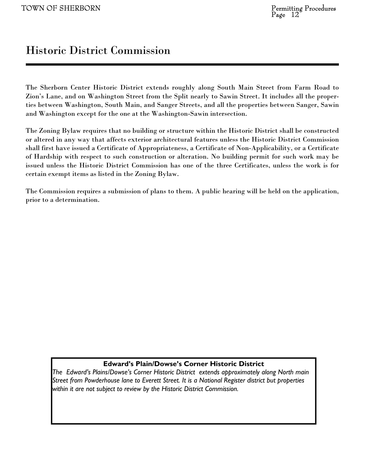### Historic District Commission

The Sherborn Center Historic District extends roughly along South Main Street from Farm Road to Zion's Lane, and on Washington Street from the Split nearly to Sawin Street. It includes all the properties between Washington, South Main, and Sanger Streets, and all the properties between Sanger, Sawin and Washington except for the one at the Washington-Sawin intersection.

The Zoning Bylaw requires that no building or structure within the Historic District shall be constructed or altered in any way that affects exterior architectural features unless the Historic District Commission shall first have issued a Certificate of Appropriateness, a Certificate of Non-Applicability, or a Certificate of Hardship with respect to such construction or alteration. No building permit for such work may be issued unless the Historic District Commission has one of the three Certificates, unless the work is for certain exempt items as listed in the Zoning Bylaw.

The Commission requires a submission of plans to them. A public hearing will be held on the application, prior to a determination.

#### **Edward's Plain/Dowse's Corner Historic District**

*The Edward's Plains/Dowse's Corner Historic District extends approximately along North main Street from Powderhouse lane to Everett Street. It is a National Register district but properties within it are not subject to review by the Historic District Commission.*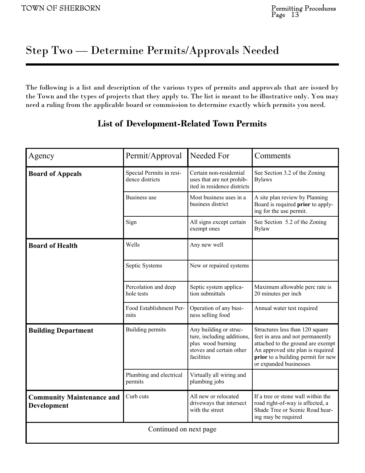# Step Two — Determine Permits/Approvals Needed

The following is a list and description of the various types of permits and approvals that are issued by the Town and the types of projects that they apply to. The list is meant to be illustrative only. You may need a ruling from the applicable board or commission to determine exactly which permits you need.

| Agency                                          | Permit/Approval                             | Needed For                                                                                                          | Comments                                                                                                                                                                                                      |  |
|-------------------------------------------------|---------------------------------------------|---------------------------------------------------------------------------------------------------------------------|---------------------------------------------------------------------------------------------------------------------------------------------------------------------------------------------------------------|--|
| <b>Board of Appeals</b>                         | Special Permits in resi-<br>dence districts | Certain non-residential<br>uses that are not prohib-<br>ited in residence districts                                 | See Section 3.2 of the Zoning<br><b>Bylaws</b>                                                                                                                                                                |  |
|                                                 | <b>Business</b> use                         | Most business uses in a<br>business district                                                                        | A site plan review by Planning<br>Board is required prior to apply-<br>ing for the use permit.                                                                                                                |  |
|                                                 | Sign                                        | All signs except certain<br>exempt ones                                                                             | See Section 5.2 of the Zoning<br><b>Bylaw</b>                                                                                                                                                                 |  |
| <b>Board of Health</b>                          | Wells                                       | Any new well                                                                                                        |                                                                                                                                                                                                               |  |
|                                                 | Septic Systems                              | New or repaired systems                                                                                             |                                                                                                                                                                                                               |  |
|                                                 | Percolation and deep<br>hole tests          | Septic system applica-<br>tion submittals                                                                           | Maximum allowable perc rate is<br>20 minutes per inch                                                                                                                                                         |  |
|                                                 | Food Establishment Per-<br>mits             | Operation of any busi-<br>ness selling food                                                                         | Annual water test required                                                                                                                                                                                    |  |
| <b>Building Department</b>                      | <b>Building permits</b>                     | Any building or struc-<br>ture, including additions,<br>plus wood burning<br>stoves and certain other<br>facilities | Structures less than 120 square<br>feet in area and not permanently<br>attached to the ground are exempt<br>An approved site plan is required<br>prior to a building permit for new<br>or expanded businesses |  |
|                                                 | Plumbing and electrical<br>permits          | Virtually all wiring and<br>plumbing jobs                                                                           |                                                                                                                                                                                                               |  |
| <b>Community Maintenance and</b><br>Development | Curb cuts                                   | All new or relocated<br>driveways that intersect<br>with the street                                                 | If a tree or stone wall within the<br>road right-of-way is affected, a<br>Shade Tree or Scenic Road hear-<br>ing may be required                                                                              |  |
| Continued on next page                          |                                             |                                                                                                                     |                                                                                                                                                                                                               |  |

#### **List of Development-Related Town Permits**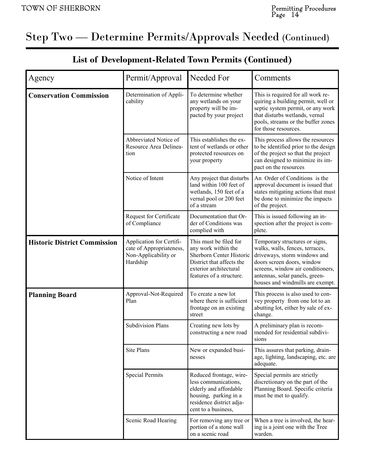# Step Two — Determine Permits/Approvals Needed (Continued)

| Agency                              | Permit/Approval                                                                          | Needed For                                                                                                                                                   | Comments                                                                                                                                                                                                                                   |
|-------------------------------------|------------------------------------------------------------------------------------------|--------------------------------------------------------------------------------------------------------------------------------------------------------------|--------------------------------------------------------------------------------------------------------------------------------------------------------------------------------------------------------------------------------------------|
| <b>Conservation Commission</b>      | Determination of Appli-<br>cability                                                      | To determine whether<br>any wetlands on your<br>property will be im-<br>pacted by your project                                                               | This is required for all work re-<br>quiring a building permit, well or<br>septic system permit, or any work<br>that disturbs wetlands, vernal<br>pools, streams or the buffer zones<br>for those resources.                               |
|                                     | Abbreviated Notice of<br>Resource Area Delinea-<br>tion                                  | This establishes the ex-<br>tent of wetlands or other<br>protected resources on<br>your property                                                             | This process allows the resources<br>to be identified prior to the design<br>of the project so that the project<br>can designed to minimize its im-<br>pact on the resources                                                               |
|                                     | Notice of Intent                                                                         | Any project that disturbs<br>land within 100 feet of<br>wetlands, 150 feet of a<br>vernal pool or 200 feet<br>of a stream                                    | An Order of Conditions is the<br>approval document is issued that<br>states mitigating actions that must<br>be done to minimize the impacts<br>of the project.                                                                             |
|                                     | Request for Certificate<br>of Compliance                                                 | Documentation that Or-<br>der of Conditions was<br>complied with                                                                                             | This is issued following an in-<br>spection after the project is com-<br>plete.                                                                                                                                                            |
| <b>Historic District Commission</b> | Application for Certifi-<br>cate of Appropriateness,<br>Non-Applicability or<br>Hardship | This must be filed for<br>any work within the<br>Sherborn Center Historic<br>District that affects the<br>exterior architectural<br>features of a structure. | Temporary structures or signs,<br>walks, walls, fences, terraces,<br>driveways, storm windows and<br>doors screen doors, window<br>screens, window air conditioners,<br>antennas, solar panels, green-<br>houses and windmills are exempt. |
| <b>Planning Board</b>               | Approval-Not-Required<br>Plan                                                            | To create a new lot<br>where there is sufficient<br>frontage on an existing<br>street                                                                        | This process is also used to con-<br>vey property from one lot to an<br>abutting lot, either by sale of ex-<br>change.                                                                                                                     |
|                                     | <b>Subdivision Plans</b>                                                                 | Creating new lots by<br>constructing a new road                                                                                                              | A preliminary plan is recom-<br>mended for residential subdivi-<br>sions                                                                                                                                                                   |
|                                     | <b>Site Plans</b>                                                                        | New or expanded busi-<br>nesses                                                                                                                              | This assures that parking, drain-<br>age, lighting, landscaping, etc. are<br>adequate.                                                                                                                                                     |
|                                     | <b>Special Permits</b>                                                                   | Reduced frontage, wire-<br>less communications,<br>elderly and affordable<br>housing, parking in a<br>residence district adja-<br>cent to a business,        | Special permits are strictly<br>discretionary on the part of the<br>Planning Board. Specific criteria<br>must be met to qualify.                                                                                                           |
|                                     | Scenic Road Hearing                                                                      | For removing any tree or<br>portion of a stone wall<br>on a scenic road                                                                                      | When a tree is involved, the hear-<br>ing is a joint one with the Tree<br>warden.                                                                                                                                                          |

#### **List of Development-Related Town Permits (Continued)**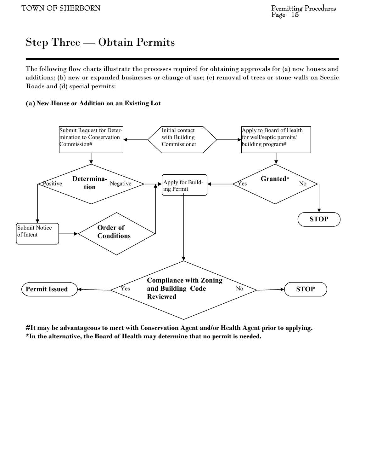### Step Three — Obtain Permits

The following flow charts illustrate the processes required for obtaining approvals for (a) new houses and additions; (b) new or expanded businesses or change of use; (c) removal of trees or stone walls on Scenic Roads and (d) special permits:

#### **(a) New House or Addition on an Existing Lot**



**#It may be advantageous to meet with Conservation Agent and/or Health Agent prior to applying. \*In the alternative, the Board of Health may determine that no permit is needed.**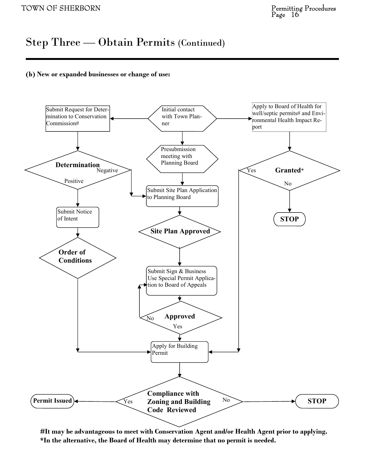### Step Three — Obtain Permits (Continued)

#### **(b) New or expanded businesses or change of use:**



**#It may be advantageous to meet with Conservation Agent and/or Health Agent prior to applying. \*In the alternative, the Board of Health may determine that no permit is needed.**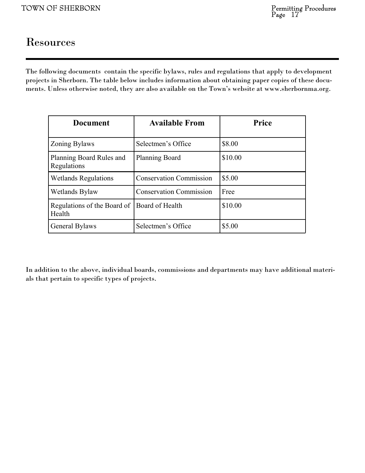### Resources

The following documents contain the specific bylaws, rules and regulations that apply to development projects in Sherborn. The table below includes information about obtaining paper copies of these documents. Unless otherwise noted, they are also available on the Town's website at www.sherbornma.org.

| <b>Document</b>                         | <b>Available From</b>          | <b>Price</b> |
|-----------------------------------------|--------------------------------|--------------|
| <b>Zoning Bylaws</b>                    | Selectmen's Office             | \$8.00       |
| Planning Board Rules and<br>Regulations | <b>Planning Board</b>          | \$10.00      |
| <b>Wetlands Regulations</b>             | <b>Conservation Commission</b> | \$5.00       |
| Wetlands Bylaw                          | <b>Conservation Commission</b> | Free         |
| Regulations of the Board of<br>Health   | Board of Health                | \$10.00      |
| General Bylaws                          | Selectmen's Office             | \$5.00       |

In addition to the above, individual boards, commissions and departments may have additional materials that pertain to specific types of projects.